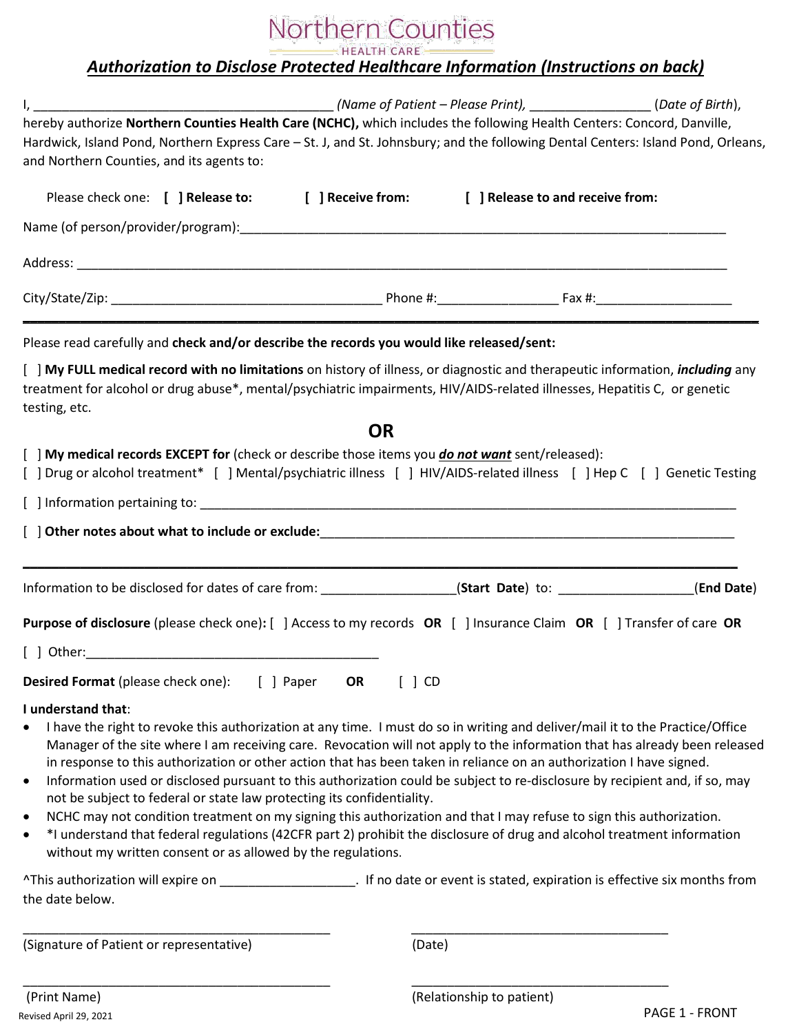# Northern Counties

HEALTH CARE -

## *Authorization to Disclose Protected Healthcare Information (Instructions on back)*

| hereby authorize Northern Counties Health Care (NCHC), which includes the following Health Centers: Concord, Danville,                                                                                                                                                                                                                                                                                                                                                                                                                                                                                                                                                                                                                                                                                                                                                                                                                                                                         |                                                       |            |
|------------------------------------------------------------------------------------------------------------------------------------------------------------------------------------------------------------------------------------------------------------------------------------------------------------------------------------------------------------------------------------------------------------------------------------------------------------------------------------------------------------------------------------------------------------------------------------------------------------------------------------------------------------------------------------------------------------------------------------------------------------------------------------------------------------------------------------------------------------------------------------------------------------------------------------------------------------------------------------------------|-------------------------------------------------------|------------|
| Hardwick, Island Pond, Northern Express Care - St. J, and St. Johnsbury; and the following Dental Centers: Island Pond, Orleans,<br>and Northern Counties, and its agents to:                                                                                                                                                                                                                                                                                                                                                                                                                                                                                                                                                                                                                                                                                                                                                                                                                  |                                                       |            |
| Please check one: [ ] Release to: [ ] Receive from: [ ] Release to and receive from:                                                                                                                                                                                                                                                                                                                                                                                                                                                                                                                                                                                                                                                                                                                                                                                                                                                                                                           |                                                       |            |
|                                                                                                                                                                                                                                                                                                                                                                                                                                                                                                                                                                                                                                                                                                                                                                                                                                                                                                                                                                                                |                                                       |            |
|                                                                                                                                                                                                                                                                                                                                                                                                                                                                                                                                                                                                                                                                                                                                                                                                                                                                                                                                                                                                |                                                       |            |
|                                                                                                                                                                                                                                                                                                                                                                                                                                                                                                                                                                                                                                                                                                                                                                                                                                                                                                                                                                                                |                                                       |            |
| Please read carefully and check and/or describe the records you would like released/sent:                                                                                                                                                                                                                                                                                                                                                                                                                                                                                                                                                                                                                                                                                                                                                                                                                                                                                                      |                                                       |            |
| [ ] My FULL medical record with no limitations on history of illness, or diagnostic and therapeutic information, <i>including</i> any<br>treatment for alcohol or drug abuse*, mental/psychiatric impairments, HIV/AIDS-related illnesses, Hepatitis C, or genetic<br>testing, etc.                                                                                                                                                                                                                                                                                                                                                                                                                                                                                                                                                                                                                                                                                                            |                                                       |            |
|                                                                                                                                                                                                                                                                                                                                                                                                                                                                                                                                                                                                                                                                                                                                                                                                                                                                                                                                                                                                | <b>OR</b>                                             |            |
| [ ] My medical records EXCEPT for (check or describe those items you <i>do not want</i> sent/released):<br>[ ] Drug or alcohol treatment* [ ] Mental/psychiatric illness [ ] HIV/AIDS-related illness [ ] Hep C [ ] Genetic Testing                                                                                                                                                                                                                                                                                                                                                                                                                                                                                                                                                                                                                                                                                                                                                            |                                                       |            |
|                                                                                                                                                                                                                                                                                                                                                                                                                                                                                                                                                                                                                                                                                                                                                                                                                                                                                                                                                                                                |                                                       |            |
|                                                                                                                                                                                                                                                                                                                                                                                                                                                                                                                                                                                                                                                                                                                                                                                                                                                                                                                                                                                                |                                                       |            |
|                                                                                                                                                                                                                                                                                                                                                                                                                                                                                                                                                                                                                                                                                                                                                                                                                                                                                                                                                                                                |                                                       | (End Date) |
| Purpose of disclosure (please check one): [ ] Access to my records OR [ ] Insurance Claim OR [ ] Transfer of care OR                                                                                                                                                                                                                                                                                                                                                                                                                                                                                                                                                                                                                                                                                                                                                                                                                                                                           |                                                       |            |
|                                                                                                                                                                                                                                                                                                                                                                                                                                                                                                                                                                                                                                                                                                                                                                                                                                                                                                                                                                                                |                                                       |            |
| Desired Format (please check one):                                                                                                                                                                                                                                                                                                                                                                                                                                                                                                                                                                                                                                                                                                                                                                                                                                                                                                                                                             | [ ] Paper<br>OR<br>$\begin{bmatrix} \end{bmatrix}$ CD |            |
| I understand that:<br>I have the right to revoke this authorization at any time. I must do so in writing and deliver/mail it to the Practice/Office<br>Manager of the site where I am receiving care. Revocation will not apply to the information that has already been released<br>in response to this authorization or other action that has been taken in reliance on an authorization I have signed.<br>Information used or disclosed pursuant to this authorization could be subject to re-disclosure by recipient and, if so, may<br>$\bullet$<br>not be subject to federal or state law protecting its confidentiality.<br>NCHC may not condition treatment on my signing this authorization and that I may refuse to sign this authorization.<br>$\bullet$<br>*I understand that federal regulations (42CFR part 2) prohibit the disclosure of drug and alcohol treatment information<br>$\bullet$<br>without my written consent or as allowed by the regulations.<br>the date below. |                                                       |            |
|                                                                                                                                                                                                                                                                                                                                                                                                                                                                                                                                                                                                                                                                                                                                                                                                                                                                                                                                                                                                |                                                       |            |
| (Signature of Patient or representative)                                                                                                                                                                                                                                                                                                                                                                                                                                                                                                                                                                                                                                                                                                                                                                                                                                                                                                                                                       | (Date)                                                |            |

Revised April 29, 2021 **PAGE 1 - FRONT** 

(Print Name) (Relationship to patient)